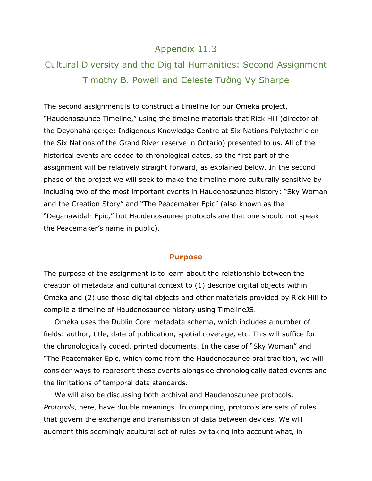## Appendix 11.3

# Cultural Diversity and the Digital Humanities: Second Assignment Timothy B. Powell and Celeste Tường Vy Sharpe

The second assignment is to construct a timeline for our Omeka project, "Haudenosaunee Timeline," using the timeline materials that Rick Hill (director of the Deyohahá:ge:ge: Indigenous Knowledge Centre at Six Nations Polytechnic on the Six Nations of the Grand River reserve in Ontario) presented to us. All of the historical events are coded to chronological dates, so the first part of the assignment will be relatively straight forward, as explained below. In the second phase of the project we will seek to make the timeline more culturally sensitive by including two of the most important events in Haudenosaunee history: "Sky Woman and the Creation Story" and "The Peacemaker Epic" (also known as the "Deganawidah Epic," but Haudenosaunee protocols are that one should not speak the Peacemaker's name in public).

#### **Purpose**

The purpose of the assignment is to learn about the relationship between the creation of metadata and cultural context to (1) describe digital objects within Omeka and (2) use those digital objects and other materials provided by Rick Hill to compile a timeline of Haudenosaunee history using TimelineJS.

Omeka uses the Dublin Core metadata schema, which includes a number of fields: author, title, date of publication, spatial coverage, etc. This will suffice for the chronologically coded, printed documents. In the case of "Sky Woman" and "The Peacemaker Epic, which come from the Haudenosaunee oral tradition, we will consider ways to represent these events alongside chronologically dated events and the limitations of temporal data standards.

We will also be discussing both archival and Haudenosaunee protocols. *Protocols*, here, have double meanings. In computing, protocols are sets of rules that govern the exchange and transmission of data between devices. We will augment this seemingly acultural set of rules by taking into account what, in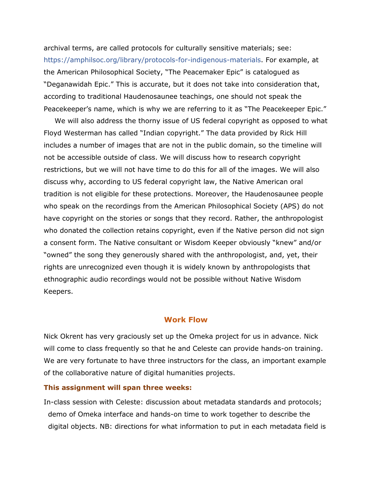archival terms, are called protocols for culturally sensitive materials; see: [https://amphilsoc.org/library/protocols-for-indigenous-materials.](https://amphilsoc.org/library/protocols-for-indigenous-materials) For example, at the American Philosophical Society, "The Peacemaker Epic" is catalogued as "Deganawidah Epic." This is accurate, but it does not take into consideration that, according to traditional Haudenosaunee teachings, one should not speak the Peacekeeper's name, which is why we are referring to it as "The Peacekeeper Epic."

We will also address the thorny issue of US federal copyright as opposed to what Floyd Westerman has called "Indian copyright." The data provided by Rick Hill includes a number of images that are not in the public domain, so the timeline will not be accessible outside of class. We will discuss how to research copyright restrictions, but we will not have time to do this for all of the images. We will also discuss why, according to US federal copyright law, the Native American oral tradition is not eligible for these protections. Moreover, the Haudenosaunee people who speak on the recordings from the American Philosophical Society (APS) do not have copyright on the stories or songs that they record. Rather, the anthropologist who donated the collection retains copyright, even if the Native person did not sign a consent form. The Native consultant or Wisdom Keeper obviously "knew" and/or "owned" the song they generously shared with the anthropologist, and, yet, their rights are unrecognized even though it is widely known by anthropologists that ethnographic audio recordings would not be possible without Native Wisdom Keepers.

### **Work Flow**

Nick Okrent has very graciously set up the Omeka project for us in advance. Nick will come to class frequently so that he and Celeste can provide hands-on training. We are very fortunate to have three instructors for the class, an important example of the collaborative nature of digital humanities projects.

#### **This assignment will span three weeks:**

In-class session with Celeste: discussion about metadata standards and protocols; demo of Omeka interface and hands-on time to work together to describe the digital objects. NB: directions for what information to put in each metadata field is